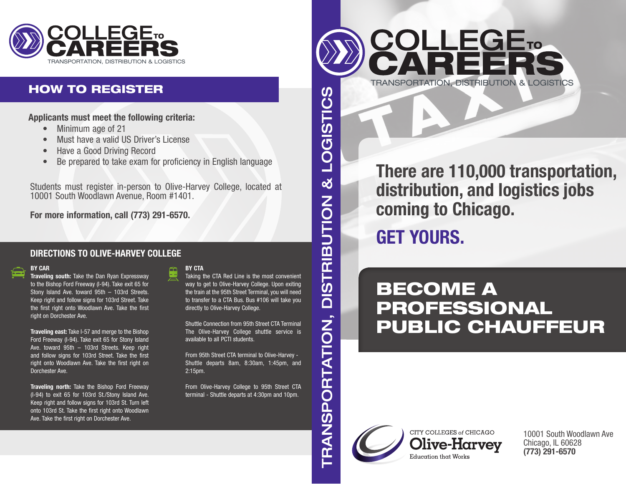

## HOW TO REGISTER

**Applicants must meet the following criteria:**

- Minimum age of 21
- Must have a valid US Driver's License
- Have a Good Driving Record
- Be prepared to take exam for proficiency in English language

Students must register in-person to Olive-Harvey College, located at 10001 South Woodlawn Avenue, Room #1401.

**For more information, call (773) 291-6570.**

### **DIRECTIONS TO OLIVE-HARVEY COLLEGE**

#### **BY CAR**

**Traveling south:** Take the Dan Ryan Expressway to the Bishop Ford Freeway (I-94). Take exit 65 for Stony Island Ave. toward 95th – 103rd Streets. Keep right and follow signs for 103rd Street. Take the first right onto Woodlawn Ave. Take the first right on Dorchester Ave.

**Traveling east:** Take I-57 and merge to the Bishop Ford Freeway (I-94). Take exit 65 for Stony Island Ave. toward 95th – 103rd Streets. Keep right and follow signs for 103rd Street. Take the first right onto Woodlawn Ave. Take the first right on Dorchester Ave.

**Traveling north:** Take the Bishop Ford Freeway (I-94) to exit 65 for 103rd St./Stony Island Ave. Keep right and follow signs for 103rd St. Turn left onto 103rd St. Take the first right onto Woodlawn Ave. Take the first right on Dorchester Ave.

#### **BY CTA**

Taking the CTA Red Line is the most convenient way to get to Olive-Harvey College. Upon exiting the train at the 95th Street Terminal, you will need to transfer to a CTA Bus. Bus #106 will take you directly to Olive-Harvey College.

Shuttle Connection from 95th Street CTA Terminal The Olive-Harvey College shuttle service is available to all PCTI students.

From 95th Street CTA terminal to Olive-Harvey - Shuttle departs 8am, 8:30am, 1:45pm, and 2:15pm.

From Olive-Harvey College to 95th Street CTA terminal - Shuttle departs at 4:30pm and 10pm.



# **There are 110,000 transportation, distribution, and logistics jobs coming to Chicago.**

**GET YOURS.**

# BECOME A PROFESSIONAL PUBLIC CHAUFFEUR



ళ

**DISTRIBUTION** 

**TRANSPORTATION,** 

CITY COLLEGES of CHICAGO Olive-Harvev Education that Works

10001 South Woodlawn Ave Chicago, IL 60628 **(773) 291-6570**